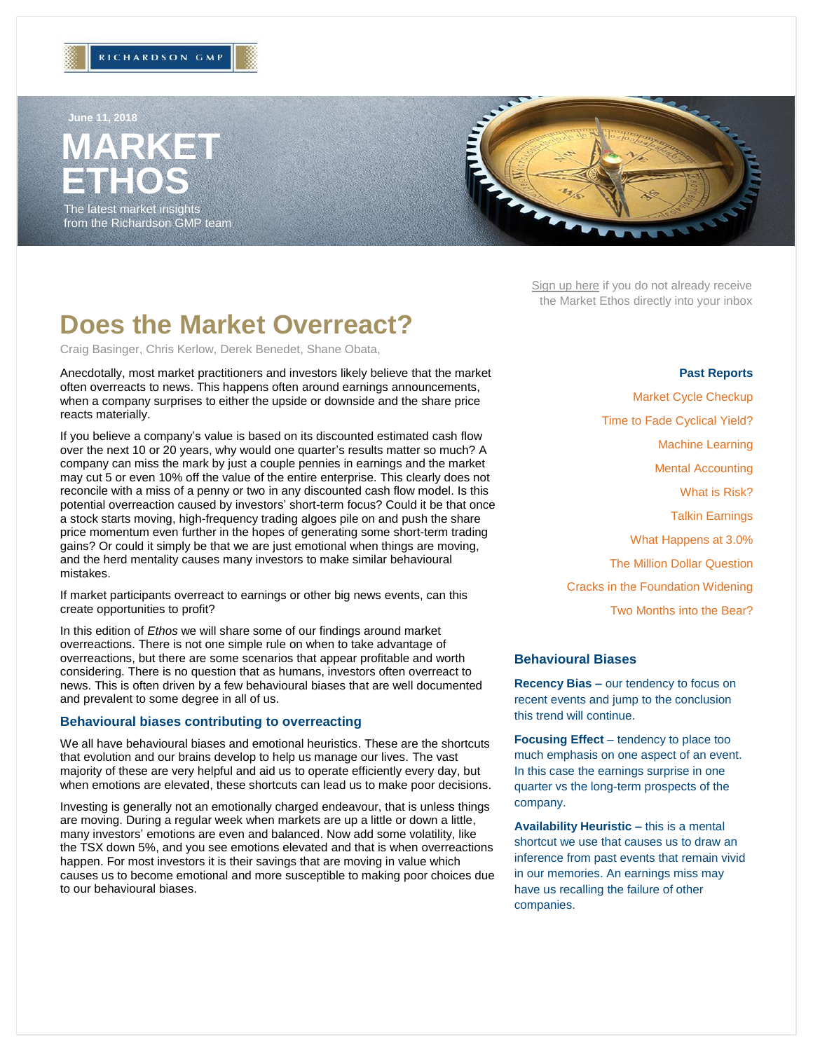

**MARKET ETHOS June 11, 2018** The latest market insights

from the Richardson GMP team



Sign up here if you do not already receive [the Market Ethos d](https://surveys.campaignbreeze.com/s/9772617f4a874bcad89db07d66bb905669984b44)irectly into your inbox

# **Does the Market Overreact?**

Craig Basinger, Chris Kerlow, Derek Benedet, Shane Obata,

Anecdotally, most market practitioners and investors likely believe that the market often overreacts to news. This happens often around earnings announcements, when a company surprises to either the upside or downside and the share price reacts materially.

**MARKET ETHOSIS IN A 1999 IN 1999 IN 1999 IN 1999 IN 1999 IN 1999 IN 1999 IN 1999 IN 1999 IN 1999 IN 1999** 

If you believe a company's value is based on its discounted estimated cash flow over the next 10 or 20 years, why would one quarter's results matter so much? A company can miss the mark by just a couple pennies in earnings and the market may cut 5 or even 10% off the value of the entire enterprise. This clearly does not reconcile with a miss of a penny or two in any discounted cash flow model. Is this potential overreaction caused by investors' short-term focus? Could it be that once a stock starts moving, high-frequency trading algoes pile on and push the share price momentum even further in the hopes of generating some short-term trading gains? Or could it simply be that we are just emotional when things are moving, and the herd mentality causes many investors to make similar behavioural mistakes.

If market participants overreact to earnings or other big news events, can this create opportunities to profit?

In this edition of *Ethos* we will share some of our findings around market overreactions. There is not one simple rule on when to take advantage of overreactions, but there are some scenarios that appear profitable and worth considering. There is no question that as humans, investors often overreact to news. This is often driven by a few behavioural biases that are well documented and prevalent to some degree in all of us.

## **Behavioural biases contributing to overreacting**

We all have behavioural biases and emotional heuristics. These are the shortcuts that evolution and our brains develop to help us manage our lives. The vast majority of these are very helpful and aid us to operate efficiently every day, but when emotions are elevated, these shortcuts can lead us to make poor decisions.

Investing is generally not an emotionally charged endeavour, that is unless things are moving. During a regular week when markets are up a little or down a little, many investors' emotions are even and balanced. Now add some volatility, like the TSX down 5%, and you see emotions elevated and that is when overreactions happen. For most investors it is their savings that are moving in value which causes us to become emotional and more susceptible to making poor choices due to our behavioural biases.

## **Past Reports**

Market [Cycle Checkup](http://www.richardsongmp.com/docs/viewpoint/market-ethos---market-cycle-checkup-4-jun-2018.pdf) [Time to Fade Cyclical Yield?](http://www.richardsongmp.com/docs/viewpoint/market-ethos---time-to-fade-cyclical-yield-28-may-2018.pdf) [Machine Learning](http://www.richardsongmp.com/docs/viewpoint/market-ethos---applying-machine-learning-in-portfolio-management-22-may-2018.pdf) Mental Accounting [What is Risk?](http://www.richardsongmp.com/docs/viewpoint/market-ethos---what-is-risk-7-may-2018.pdf) [Talkin Earnings](http://www.richardsongmp.com/docs/viewpoint/market-ethos---talkin-earnings-30-apr-2018.pdf) [What Happens at 3.0%](http://www.richardsongmp.com/docs/viewpoint/market-ethos---what-happens-at-3-0_-23-april-2018.pdf) [The Million Dollar Question](http://www.richardsongmp.com/docs/viewpoint/market-ethos---million-dollar-question-16-apr-2018.pdf) [Cracks in the Foundation Widening](http://www.richardsongmp.com/docs/viewpoint/market-ethos---cracks-in-the-foundation-widening-apr-9-2018.pdf) [Two Months into](http://www.richardsongmp.com/docs/viewpoint/market-ethos---two-months-into-the-bear-26-mar-2018.pdf) the Bear?

## **Behavioural Biases**

**Recency Bias –** our tendency to focus on recent events and jump to the conclusion this trend will continue.

**Focusing Effect** – tendency to place too much emphasis on one aspect of an event. In this case the earnings surprise in one quarter vs the long-term prospects of the company.

**Availability Heuristic –** this is a mental shortcut we use that causes us to draw an inference from past events that remain vivid in our memories. An earnings miss may have us recalling the failure of other companies.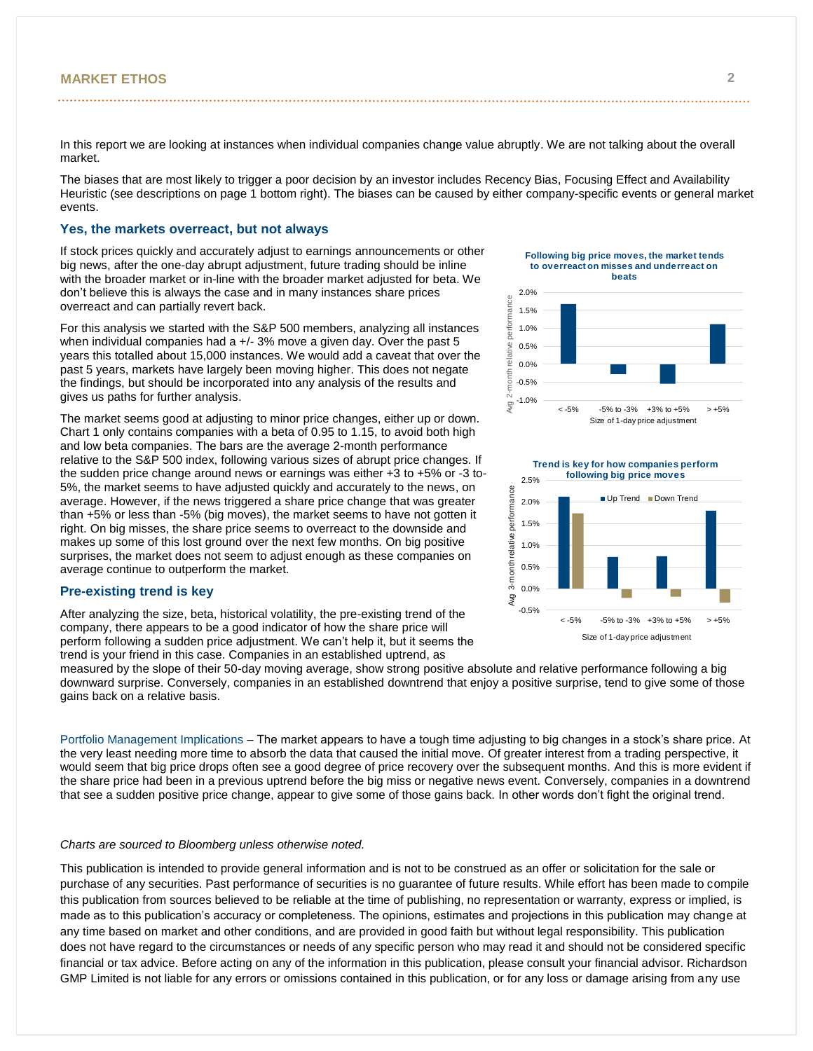In this report we are looking at instances when individual companies change value abruptly. We are not talking about the overall market.

The biases that are most likely to trigger a poor decision by an investor includes Recency Bias, Focusing Effect and Availability Heuristic (see descriptions on page 1 bottom right). The biases can be caused by either company-specific events or general market events.

#### **Yes, the markets overreact, but not always**

If stock prices quickly and accurately adjust to earnings announcements or other big news, after the one-day abrupt adjustment, future trading should be inline with the broader market or in-line with the broader market adjusted for beta. We don't believe this is always the case and in many instances share prices overreact and can partially revert back.

For this analysis we started with the S&P 500 members, analyzing all instances when individual companies had a +/- 3% move a given day. Over the past 5 years this totalled about 15,000 instances. We would add a caveat that over the past 5 years, markets have largely been moving higher. This does not negate the findings, but should be incorporated into any analysis of the results and gives us paths for further analysis.

The market seems good at adjusting to minor price changes, either up or down. Chart 1 only contains companies with a beta of 0.95 to 1.15, to avoid both high and low beta companies. The bars are the average 2-month performance relative to the S&P 500 index, following various sizes of abrupt price changes. If the sudden price change around news or earnings was either +3 to +5% or -3 to-5%, the market seems to have adjusted quickly and accurately to the news, on average. However, if the news triggered a share price change that was greater than +5% or less than -5% (big moves), the market seems to have not gotten it right. On big misses, the share price seems to overreact to the downside and makes up some of this lost ground over the next few months. On big positive surprises, the market does not seem to adjust enough as these companies on average continue to outperform the market.

### **Pre-existing trend is key**

After analyzing the size, beta, historical volatility, the pre-existing trend of the company, there appears to be a good indicator of how the share price will perform following a sudden price adjustment. We can't help it, but it seems the trend is your friend in this case. Companies in an established uptrend, as

**Following big price moves, the market tends to overreact on misses and underreact on** 



**Trend is key for how companies perform following big price moves**



measured by the slope of their 50-day moving average, show strong positive absolute and relative performance following a big downward surprise. Conversely, companies in an established downtrend that enjoy a positive surprise, tend to give some of those gains back on a relative basis.

Portfolio Management Implications – The market appears to have a tough time adjusting to big changes in a stock's share price. At the very least needing more time to absorb the data that caused the initial move. Of greater interest from a trading perspective, it would seem that big price drops often see a good degree of price recovery over the subsequent months. And this is more evident if the share price had been in a previous uptrend before the big miss or negative news event. Conversely, companies in a downtrend that see a sudden positive price change, appear to give some of those gains back. In other words don't fight the original trend.

#### *Charts are sourced to Bloomberg unless otherwise noted.*

This publication is intended to provide general information and is not to be construed as an offer or solicitation for the sale or purchase of any securities. Past performance of securities is no guarantee of future results. While effort has been made to compile this publication from sources believed to be reliable at the time of publishing, no representation or warranty, express or implied, is made as to this publication's accuracy or completeness. The opinions, estimates and projections in this publication may change at any time based on market and other conditions, and are provided in good faith but without legal responsibility. This publication does not have regard to the circumstances or needs of any specific person who may read it and should not be considered specific financial or tax advice. Before acting on any of the information in this publication, please consult your financial advisor. Richardson GMP Limited is not liable for any errors or omissions contained in this publication, or for any loss or damage arising from any use